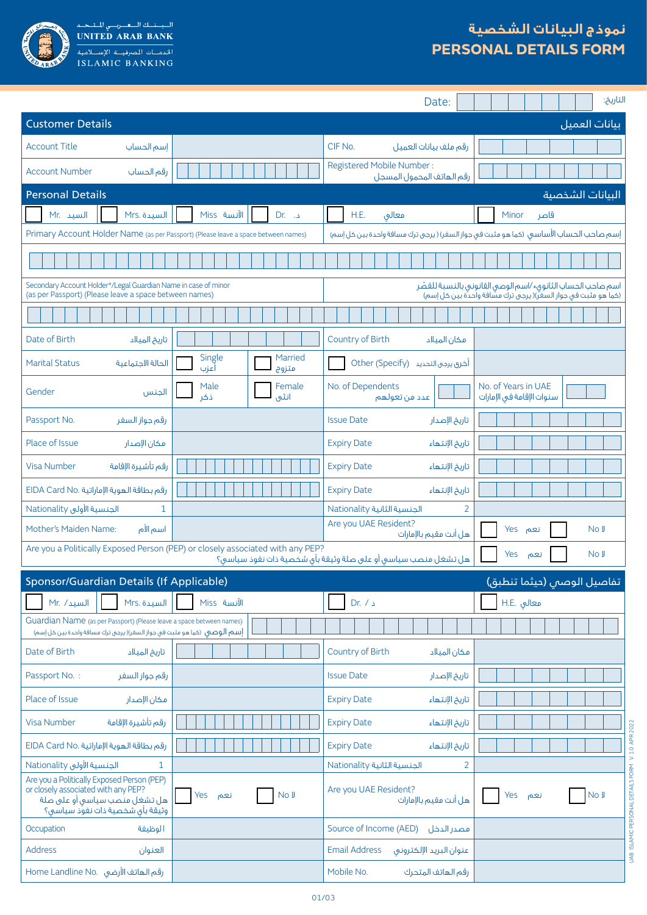

السيسنسك السعيدرسي للتشخيذ<br>UNITED ARAB BANK ISLAMIC BANKING

## **نموذج البيانات الشخصية PERSONAL DETAILS FORM**

|                                                                                                                                                                                                                                                          |                                    | Date:                                                  | التاريخ:                                                                               |  |  |  |  |  |  |
|----------------------------------------------------------------------------------------------------------------------------------------------------------------------------------------------------------------------------------------------------------|------------------------------------|--------------------------------------------------------|----------------------------------------------------------------------------------------|--|--|--|--|--|--|
| <b>Customer Details</b>                                                                                                                                                                                                                                  |                                    |                                                        | بيانات العميل                                                                          |  |  |  |  |  |  |
| <b>Account Title</b><br>إسم الحساب                                                                                                                                                                                                                       |                                    | CIF No.<br>رقم ملف بيانات العميل                       |                                                                                        |  |  |  |  |  |  |
| <b>Account Number</b><br>رقم الحساب                                                                                                                                                                                                                      |                                    | Registered Mobile Number:<br>رقم الهاتف المحمول المسجل |                                                                                        |  |  |  |  |  |  |
| <b>Personal Details</b>                                                                                                                                                                                                                                  |                                    |                                                        | البيانات الشخصية                                                                       |  |  |  |  |  |  |
| السيد .Mr<br>السيدة .Mrs                                                                                                                                                                                                                                 | الآنسة Miss<br>$Dr.$ .             | H.E.<br>معالق                                          | Minor<br>قاصر                                                                          |  |  |  |  |  |  |
| Primary Account Holder Name (as per Passport) (Please leave a space between names)                                                                                                                                                                       |                                    |                                                        | إسم صاحب الحساب الأساسي (كما هو مثبت في جواز السفر) ( يرجى ترك مسافة واحدة بين كل إسم) |  |  |  |  |  |  |
|                                                                                                                                                                                                                                                          |                                    |                                                        |                                                                                        |  |  |  |  |  |  |
| Secondary Account Holder*/Legal Guardian Name in case of minor<br>اسم صاحب الحساب الثانوق٭ ⁄اسم الوصى القانونى بالنسبة للقصّر<br>(as per Passport) (Please leave a space between names)<br>(كما هو مثبت في جواز السفر)( يرجى ترك مسافة واحدة بين كل إسم) |                                    |                                                        |                                                                                        |  |  |  |  |  |  |
|                                                                                                                                                                                                                                                          |                                    |                                                        |                                                                                        |  |  |  |  |  |  |
| Date of Birth<br>تاريخ الميلاد                                                                                                                                                                                                                           |                                    | Country of Birth<br>مكان الميلاد                       |                                                                                        |  |  |  |  |  |  |
| <b>Marital Status</b><br>الحالة الاجتماعية                                                                                                                                                                                                               | Single<br>Married<br>أعزب<br>متزوج | Other (Specify) أخرق يرجى التحديد                      |                                                                                        |  |  |  |  |  |  |
| Gender<br>الجنس                                                                                                                                                                                                                                          | Female<br>Male<br>ذكر<br>انثى      | No. of Dependents<br>عدد من تعولهم                     | No. of Years in UAE<br>سنوات الإقامة فى الإمارات                                       |  |  |  |  |  |  |
| Passport No.<br>رقم جواز السفر                                                                                                                                                                                                                           |                                    | <b>Issue Date</b><br>تاريخ الإصدار                     |                                                                                        |  |  |  |  |  |  |
| Place of Issue<br>مكان الإصدار                                                                                                                                                                                                                           |                                    | <b>Expiry Date</b><br>تاريخ الإنتهاء                   |                                                                                        |  |  |  |  |  |  |
| رقم تأشيرة الإقامة<br><b>Visa Number</b>                                                                                                                                                                                                                 |                                    | <b>Expiry Date</b><br>تاريخ الإنتهاء                   |                                                                                        |  |  |  |  |  |  |
| رقم بطاقة الهوية الإماراتية .EIDA Card No                                                                                                                                                                                                                |                                    | <b>Expiry Date</b><br>تاريخ الإنتهاء                   |                                                                                        |  |  |  |  |  |  |
| الجنسية الأولى Nationality<br>$\mathbf{1}$                                                                                                                                                                                                               |                                    | $\overline{2}$<br>الجنسية الثانية Nationality          |                                                                                        |  |  |  |  |  |  |
| Mother's Maiden Name:<br>اسم الأم                                                                                                                                                                                                                        |                                    | Are you UAE Resident?<br>هل أنت مقيم بالإمارات         | <b>Yes</b><br>No J<br>نعم                                                              |  |  |  |  |  |  |
| Are you a Politically Exposed Person (PEP) or closely associated with any PEP?<br>Yes<br>No J<br>نعم<br>هل تشغل منصب سياسى أو على صلة وثيقة بأى شخصية ذات نفوذ سياسى؟                                                                                    |                                    |                                                        |                                                                                        |  |  |  |  |  |  |
| Sponsor/Guardian Details (If Applicable)                                                                                                                                                                                                                 |                                    |                                                        | تفاصيل الوصس (حيثما تنطبق)                                                             |  |  |  |  |  |  |
| السيد/ Mr.<br>السيدة .Mrs                                                                                                                                                                                                                                | الآنسة Miss                        | Dr. / <sub>4</sub>                                     | H.E. معالق                                                                             |  |  |  |  |  |  |
| Guardian Name (as per Passport) (Please leave a space between names)<br>إسم الوصى (كما هو مثبت فى جواز السفر)( يرجى ترك مسافة واحدة بين كل إسم)                                                                                                          |                                    |                                                        |                                                                                        |  |  |  |  |  |  |
| Date of Birth<br>تاريخ الميلاد                                                                                                                                                                                                                           |                                    | Country of Birth<br>مكان الميلاد                       |                                                                                        |  |  |  |  |  |  |
| Passport No.:<br>رقم جواز السفر                                                                                                                                                                                                                          |                                    | <b>Issue Date</b><br>تاريخ الإصدار                     |                                                                                        |  |  |  |  |  |  |
| Place of Issue<br>مكان الإصدار                                                                                                                                                                                                                           |                                    | <b>Expiry Date</b><br>تاريخ الإنتهاء                   |                                                                                        |  |  |  |  |  |  |
| رقم تأشيرة الإقامة<br><b>Visa Number</b>                                                                                                                                                                                                                 |                                    | <b>Expiry Date</b><br>تاريخ الإنتهاء                   |                                                                                        |  |  |  |  |  |  |
| رقم بطاقة الهوية الإماراتية .EIDA Card No                                                                                                                                                                                                                |                                    | <b>Expiry Date</b><br>تاريخ الإنتهاء                   |                                                                                        |  |  |  |  |  |  |
| الجنسية الأولى Nationality<br>1                                                                                                                                                                                                                          |                                    | الجنسية الثانية Nationality<br>2                       |                                                                                        |  |  |  |  |  |  |
| Are you a Politically Exposed Person (PEP)<br>or closely associated with any PEP?<br>هل تشغل منصب سياسى أو على صلة<br>وثيقة بأى شخصية ذات نفوّذ سياسى؟                                                                                                   | No J<br>Yes<br>نعم                 | Are you UAE Resident?<br>هل أنت مقيم بالإمارات         | No J<br>Yes<br>نعم                                                                     |  |  |  |  |  |  |
| Occupation<br>الوظيفة                                                                                                                                                                                                                                    |                                    | Source of Income (AED) مصدر الدخل                      |                                                                                        |  |  |  |  |  |  |
| <b>Address</b><br>العنوان                                                                                                                                                                                                                                |                                    | <b>Email Address</b><br>عنوان البريد الإلكترونى        |                                                                                        |  |  |  |  |  |  |
| Home Landline No. رقم الهاتف الأرضى                                                                                                                                                                                                                      |                                    | Mobile No.<br>رقم الهاتف المتحرك                       |                                                                                        |  |  |  |  |  |  |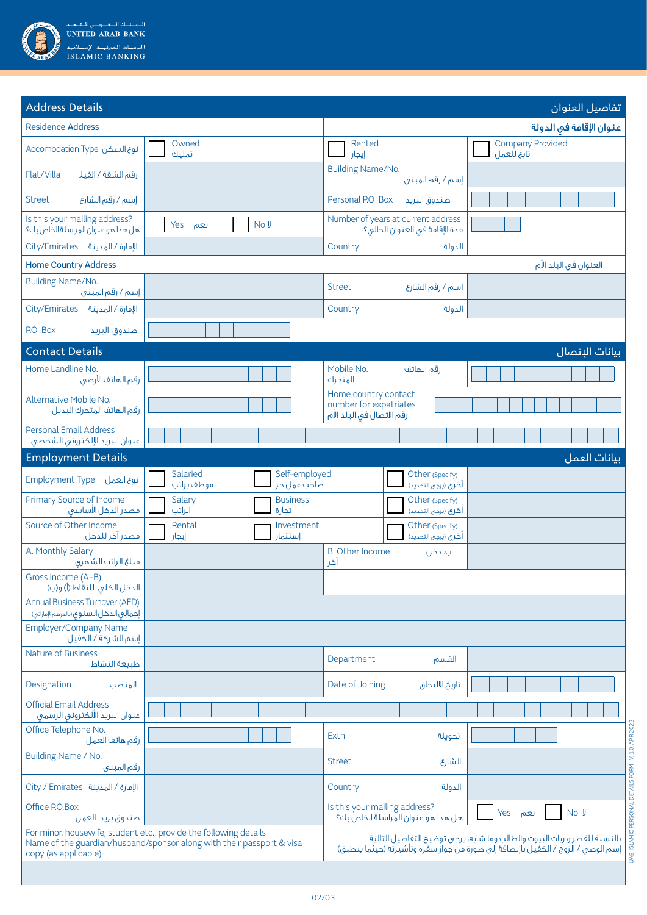

| <b>Address Details</b>                                                           |                                                                                                                                            |                                                                                                                                                                | تفاصيل العنوان                        |  |  |  |
|----------------------------------------------------------------------------------|--------------------------------------------------------------------------------------------------------------------------------------------|----------------------------------------------------------------------------------------------------------------------------------------------------------------|---------------------------------------|--|--|--|
| <b>Residence Address</b>                                                         |                                                                                                                                            |                                                                                                                                                                | عنوان الإقامة في الدولة               |  |  |  |
| Lacomodation Type نوع السكن                                                      | Owned<br>تملىك                                                                                                                             | Rented<br>إيجار                                                                                                                                                | <b>Company Provided</b><br>تابع للعمل |  |  |  |
| Flat/Villa<br>رقم الشقة / الفيلا                                                 |                                                                                                                                            | <b>Building Name/No.</b><br>إسم / رقم المبنى                                                                                                                   |                                       |  |  |  |
| إسم / رقم الشارع<br><b>Street</b>                                                |                                                                                                                                            | Personal P.O Box<br>صندوق البريد                                                                                                                               |                                       |  |  |  |
| Is this your mailing address?<br>هل هذا هو عنوان المراسلة الخاص بك؟              | No J<br>Yes<br>نعم                                                                                                                         | Number of years at current address<br>مدة الإقامة في العنوان الحالي؟                                                                                           |                                       |  |  |  |
| Oity/Emirates الإمارة / المدينة                                                  |                                                                                                                                            | Country<br>الدولة                                                                                                                                              |                                       |  |  |  |
| <b>Home Country Address</b>                                                      |                                                                                                                                            |                                                                                                                                                                | العنوان في البلد الأم                 |  |  |  |
| <b>Building Name/No.</b><br>إسم / رقم المبنى                                     |                                                                                                                                            | اسم / رقم الشارع<br><b>Street</b>                                                                                                                              |                                       |  |  |  |
| Oity/Emirates ألإمارة / المدينة                                                  |                                                                                                                                            | Country<br>الدولة                                                                                                                                              |                                       |  |  |  |
| P.O Box<br>صندوق البريد                                                          |                                                                                                                                            |                                                                                                                                                                |                                       |  |  |  |
| <b>Contact Details</b>                                                           |                                                                                                                                            |                                                                                                                                                                | بيانات الإتصال                        |  |  |  |
| Home Landline No.<br>رقم الهاتف الأرضى                                           |                                                                                                                                            | Mobile No.<br>رقم الهاتف<br>المتحرك                                                                                                                            |                                       |  |  |  |
| Alternative Mobile No.<br>رقم الهاتف المتحرك البديل                              |                                                                                                                                            | Home country contact<br>number for expatriates<br>رقم الاتصال في البلد الأم                                                                                    |                                       |  |  |  |
| <b>Personal Email Address</b><br>عنوان البريد الإلكترونى الشخصى                  |                                                                                                                                            |                                                                                                                                                                |                                       |  |  |  |
| <b>Employment Details</b>                                                        |                                                                                                                                            |                                                                                                                                                                | بيانات العمل                          |  |  |  |
| Employment Type نوع العمل                                                        | Self-employed<br>Salaried<br>موظف براتب<br>صاحب عمل حر                                                                                     | Other (Specify)<br>أخرى (يرجى التحديد)                                                                                                                         |                                       |  |  |  |
| Primary Source of Income<br>فصدر الدخل الأساسق                                   | Salary<br><b>Business</b><br>الراتب<br>تجارة                                                                                               | Other (Specify)<br>آخرى (يرجى التحديد)                                                                                                                         |                                       |  |  |  |
| Source of Other Income<br>مصدر آخر للدخل                                         | Rental<br>Investment<br>إستثمار<br>إيجار                                                                                                   | Other (Specify)<br>أخرى (يرجى التحديد)                                                                                                                         |                                       |  |  |  |
| A. Monthly Salary<br>مبلغ الراتب الشهرى                                          |                                                                                                                                            | <b>B.</b> Other Income<br>ب. دخل<br>آخر                                                                                                                        |                                       |  |  |  |
| Gross Income (A+B)<br>الدخل الكلي للنقاط (أ) و(ب)                                |                                                                                                                                            |                                                                                                                                                                |                                       |  |  |  |
| <b>Annual Business Turnover (AED)</b><br>إجمالي الدخل السنوق (بالدرهم الإماراتي) |                                                                                                                                            |                                                                                                                                                                |                                       |  |  |  |
| <b>Employer/Company Name</b><br>إسم الشركة / الكفيل                              |                                                                                                                                            |                                                                                                                                                                |                                       |  |  |  |
| <b>Nature of Business</b><br>طبيعة النشاط                                        |                                                                                                                                            | Department<br>القسم                                                                                                                                            |                                       |  |  |  |
| Designation<br>المنصب                                                            |                                                                                                                                            | Date of Joining<br>تاريخ الالتحاق                                                                                                                              |                                       |  |  |  |
| <b>Official Email Address</b><br>عنوان البريد الألكترونى الرسمى                  |                                                                                                                                            |                                                                                                                                                                |                                       |  |  |  |
| Office Telephone No.<br>رقم هاتف العمل                                           |                                                                                                                                            | Extn<br>تحويلة                                                                                                                                                 |                                       |  |  |  |
| Building Name / No.<br>رقم المبني                                                |                                                                                                                                            | <b>Street</b><br>الشارع                                                                                                                                        |                                       |  |  |  |
| الإمارة / المدينة City / Emirates                                                |                                                                                                                                            | Country<br>الدولة                                                                                                                                              |                                       |  |  |  |
| Office P.O.Box<br>صندوق بريد العمل                                               |                                                                                                                                            | Is this your mailing address?<br>هل هذا هو عنوان المراسلة الخاص بك؟                                                                                            | Yes<br>No J<br>نعم                    |  |  |  |
| copy (as applicable)                                                             | For minor, housewife, student etc., provide the following details<br>Name of the guardian/husband/sponsor along with their passport & visa | بالنسبة للقصر وربات البيوت والطالب وما شابه، يرجى توضيح التفاصيل التالية<br>  إسم الوصى / الزوج / الكفيل باإلضافة إلى صورة من جواز سفره وتأشيرته (حيثما ينطبق) |                                       |  |  |  |